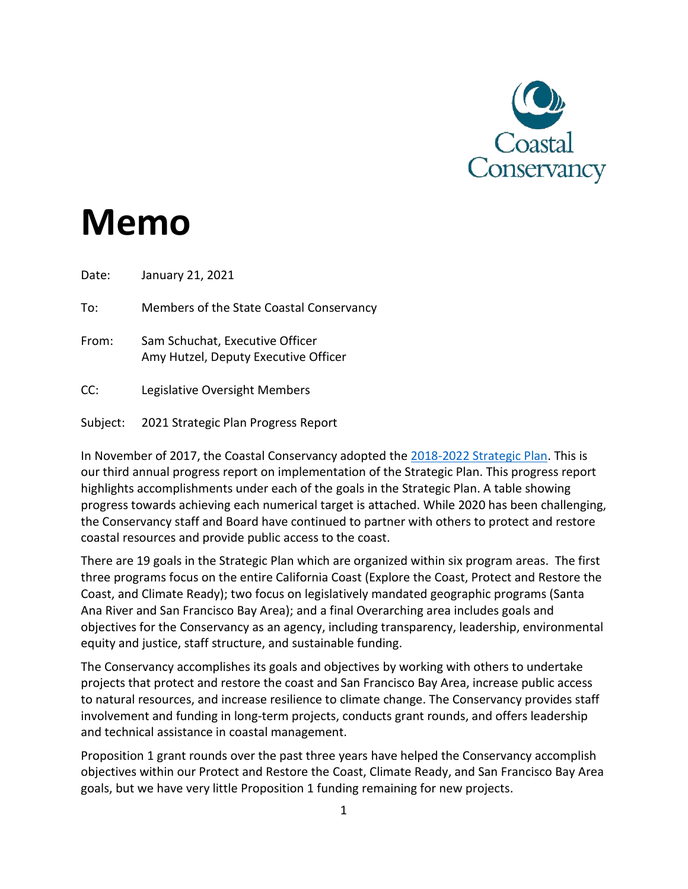

# **Memo**

Date: January 21, 2021

To: Members of the State Coastal Conservancy

From: Sam Schuchat, Executive Officer Amy Hutzel, Deputy Executive Officer

CC: Legislative Oversight Members

Subject: 2021 Strategic Plan Progress Report

In November of 2017, the Coastal Conservancy adopted the 2018-2022 [Strategic Plan.](https://scc.ca.gov/files/2019/10/Strategic-Plan-2018-2022-AB434.pdf) This is our third annual progress report on implementation of the Strategic Plan. This progress report highlights accomplishments under each of the goals in the Strategic Plan. A table showing progress towards achieving each numerical target is attached. While 2020 has been challenging, the Conservancy staff and Board have continued to partner with others to protect and restore coastal resources and provide public access to the coast.

There are 19 goals in the Strategic Plan which are organized within six program areas. The first three programs focus on the entire California Coast (Explore the Coast, Protect and Restore the Coast, and Climate Ready); two focus on legislatively mandated geographic programs (Santa Ana River and San Francisco Bay Area); and a final Overarching area includes goals and objectives for the Conservancy as an agency, including transparency, leadership, environmental equity and justice, staff structure, and sustainable funding.

The Conservancy accomplishes its goals and objectives by working with others to undertake projects that protect and restore the coast and San Francisco Bay Area, increase public access to natural resources, and increase resilience to climate change. The Conservancy provides staff involvement and funding in long-term projects, conducts grant rounds, and offers leadership and technical assistance in coastal management.

Proposition 1 grant rounds over the past three years have helped the Conservancy accomplish objectives within our Protect and Restore the Coast, Climate Ready, and San Francisco Bay Area goals, but we have very little Proposition 1 funding remaining for new projects.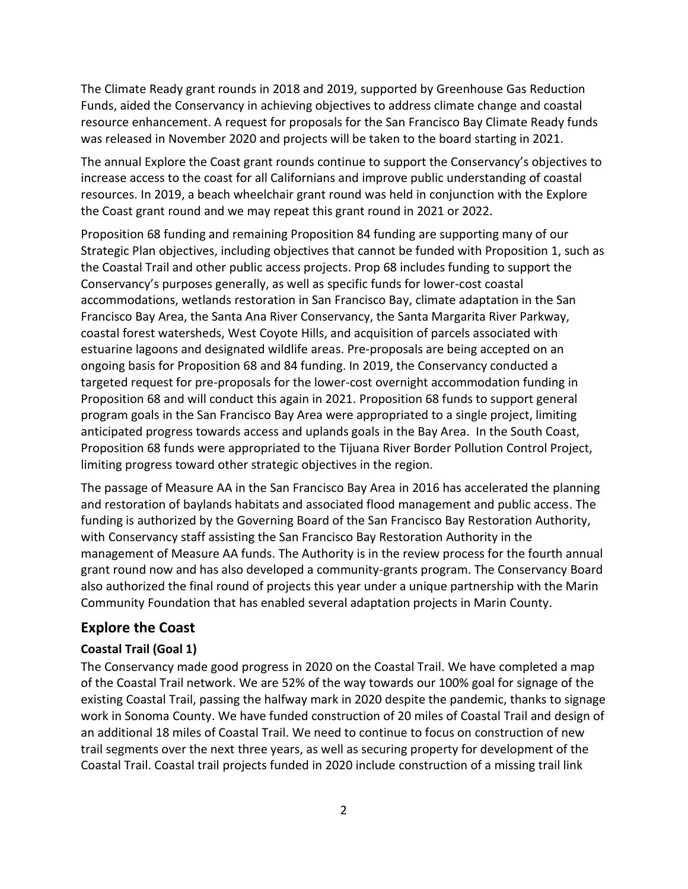The Climate Ready grant rounds in 2018 and 2019, supported by Greenhouse Gas Reduction Funds, aided the Conservancy in achieving objectives to address climate change and coastal resource enhancement. A request for proposals for the San Francisco Bay Climate Ready funds was released in November 2020 and projects will be taken to the board starting in 2021.

The annual Explore the Coast grant rounds continue to support the Conservancy's objectives to increase access to the coast for all Californians and improve public understanding of coastal resources. In 2019, a beach wheelchair grant round was held in conjunction with the Explore the Coast grant round and we may repeat this grant round in 2021 or 2022.

Proposition 68 funding and remaining Proposition 84 funding are supporting many of our Strategic Plan objectives, including objectives that cannot be funded with Proposition 1, such as the Coastal Trail and other public access projects. Prop 68 includes funding to support the Conservancy's purposes generally, as well as specific funds for lower-cost coastal accommodations, wetlands restoration in San Francisco Bay, climate adaptation in the San Francisco Bay Area, the Santa Ana River Conservancy, the Santa Margarita River Parkway, coastal forest watersheds, West Coyote Hills, and acquisition of parcels associated with estuarine lagoons and designated wildlife areas. Pre-proposals are being accepted on an ongoing basis for Proposition 68 and 84 funding. In 2019, the Conservancy conducted a targeted request for pre-proposals for the lower-cost overnight accommodation funding in Proposition 68 and will conduct this again in 2021. Proposition 68 funds to support general program goals in the San Francisco Bay Area were appropriated to a single project, limiting anticipated progress towards access and uplands goals in the Bay Area. In the South Coast, Proposition 68 funds were appropriated to the Tijuana River Border Pollution Control Project, limiting progress toward other strategic objectives in the region.

The passage of Measure AA in the San Francisco Bay Area in 2016 has accelerated the planning and restoration of baylands habitats and associated flood management and public access. The funding is authorized by the Governing Board of the San Francisco Bay Restoration Authority, with Conservancy staff assisting the San Francisco Bay Restoration Authority in the management of Measure AA funds. The Authority is in the review process for the fourth annual grant round now and has also developed a community-grants program. The Conservancy Board also authorized the final round of projects this year under a unique partnership with the Marin Community Foundation that has enabled several adaptation projects in Marin County.

#### **Explore the Coast**

#### **Coastal Trail (Goal 1)**

The Conservancy made good progress in 2020 on the Coastal Trail. We have completed a map of the Coastal Trail network. We are 52% of the way towards our 100% goal for signage of the existing Coastal Trail, passing the halfway mark in 2020 despite the pandemic, thanks to signage work in Sonoma County. We have funded construction of 20 miles of Coastal Trail and design of an additional 18 miles of Coastal Trail. We need to continue to focus on construction of new trail segments over the next three years, as well as securing property for development of the Coastal Trail. Coastal trail projects funded in 2020 include construction of a missing trail link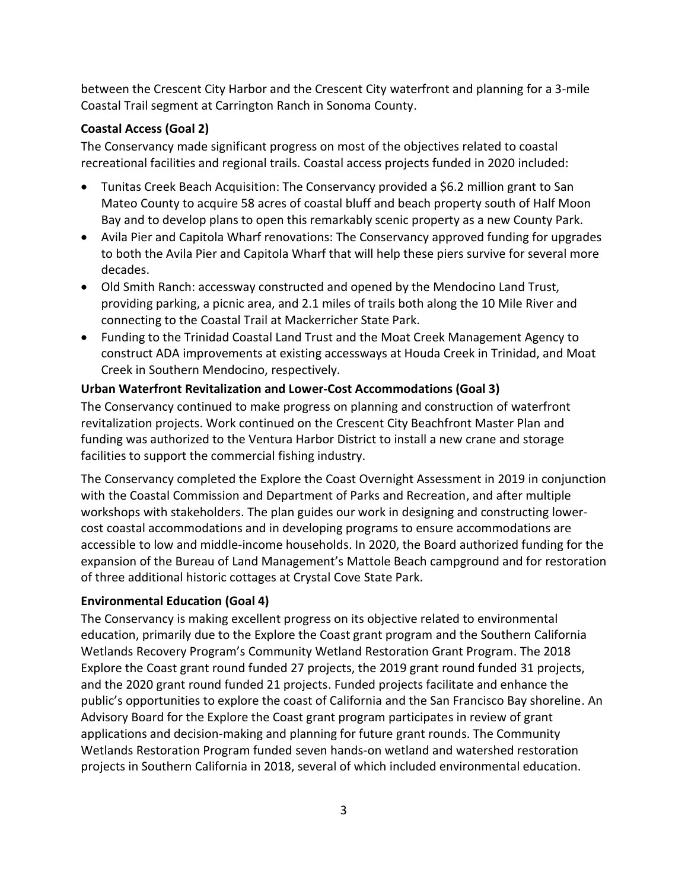between the Crescent City Harbor and the Crescent City waterfront and planning for a 3-mile Coastal Trail segment at Carrington Ranch in Sonoma County.

## **Coastal Access (Goal 2)**

The Conservancy made significant progress on most of the objectives related to coastal recreational facilities and regional trails. Coastal access projects funded in 2020 included:

- Tunitas Creek Beach Acquisition: The Conservancy provided a \$6.2 million grant to San Mateo County to acquire 58 acres of coastal bluff and beach property south of Half Moon Bay and to develop plans to open this remarkably scenic property as a new County Park.
- Avila Pier and Capitola Wharf renovations: The Conservancy approved funding for upgrades to both the Avila Pier and Capitola Wharf that will help these piers survive for several more decades.
- Old Smith Ranch: accessway constructed and opened by the Mendocino Land Trust, providing parking, a picnic area, and 2.1 miles of trails both along the 10 Mile River and connecting to the Coastal Trail at Mackerricher State Park.
- Funding to the Trinidad Coastal Land Trust and the Moat Creek Management Agency to construct ADA improvements at existing accessways at Houda Creek in Trinidad, and Moat Creek in Southern Mendocino, respectively.

## **Urban Waterfront Revitalization and Lower-Cost Accommodations (Goal 3)**

The Conservancy continued to make progress on planning and construction of waterfront revitalization projects. Work continued on the Crescent City Beachfront Master Plan and funding was authorized to the Ventura Harbor District to install a new crane and storage facilities to support the commercial fishing industry.

The Conservancy completed the Explore the Coast Overnight Assessment in 2019 in conjunction with the Coastal Commission and Department of Parks and Recreation, and after multiple workshops with stakeholders. The plan guides our work in designing and constructing lowercost coastal accommodations and in developing programs to ensure accommodations are accessible to low and middle-income households. In 2020, the Board authorized funding for the expansion of the Bureau of Land Management's Mattole Beach campground and for restoration of three additional historic cottages at Crystal Cove State Park.

## **Environmental Education (Goal 4)**

The Conservancy is making excellent progress on its objective related to environmental education, primarily due to the Explore the Coast grant program and the Southern California Wetlands Recovery Program's Community Wetland Restoration Grant Program. The 2018 Explore the Coast grant round funded 27 projects, the 2019 grant round funded 31 projects, and the 2020 grant round funded 21 projects. Funded projects facilitate and enhance the public's opportunities to explore the coast of California and the San Francisco Bay shoreline. An Advisory Board for the Explore the Coast grant program participates in review of grant applications and decision-making and planning for future grant rounds. The Community Wetlands Restoration Program funded seven hands-on wetland and watershed restoration projects in Southern California in 2018, several of which included environmental education.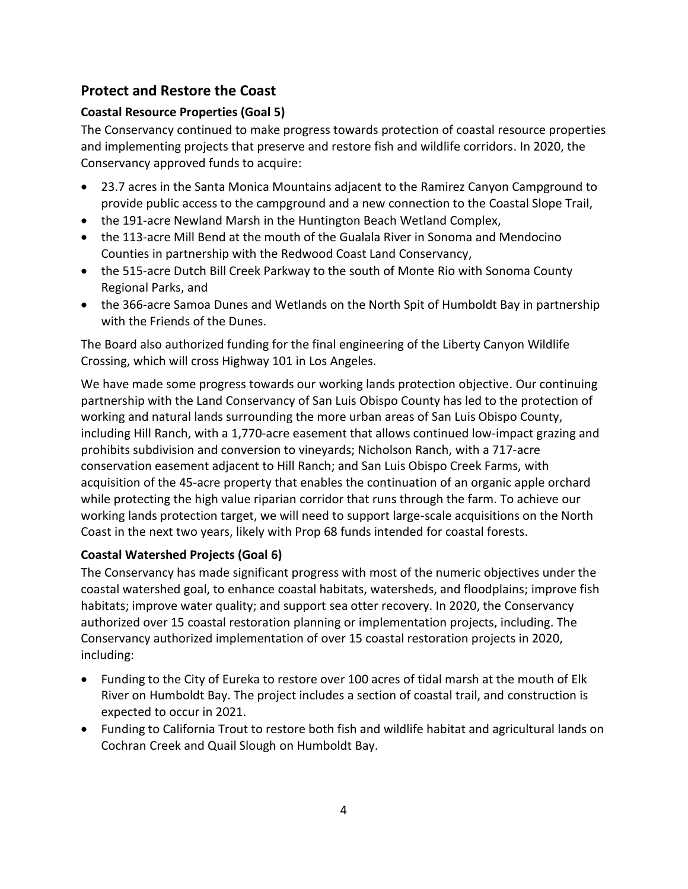# **Protect and Restore the Coast**

## **Coastal Resource Properties (Goal 5)**

The Conservancy continued to make progress towards protection of coastal resource properties and implementing projects that preserve and restore fish and wildlife corridors. In 2020, the Conservancy approved funds to acquire:

- 23.7 acres in the Santa Monica Mountains adjacent to the Ramirez Canyon Campground to provide public access to the campground and a new connection to the Coastal Slope Trail,
- the 191-acre Newland Marsh in the Huntington Beach Wetland Complex,
- the 113-acre Mill Bend at the mouth of the Gualala River in Sonoma and Mendocino Counties in partnership with the Redwood Coast Land Conservancy,
- the 515-acre Dutch Bill Creek Parkway to the south of Monte Rio with Sonoma County Regional Parks, and
- the 366-acre Samoa Dunes and Wetlands on the North Spit of Humboldt Bay in partnership with the Friends of the Dunes.

The Board also authorized funding for the final engineering of the Liberty Canyon Wildlife Crossing, which will cross Highway 101 in Los Angeles.

We have made some progress towards our working lands protection objective. Our continuing partnership with the Land Conservancy of San Luis Obispo County has led to the protection of working and natural lands surrounding the more urban areas of San Luis Obispo County, including Hill Ranch, with a 1,770-acre easement that allows continued low-impact grazing and prohibits subdivision and conversion to vineyards; Nicholson Ranch, with a 717-acre conservation easement adjacent to Hill Ranch; and San Luis Obispo Creek Farms, with acquisition of the 45-acre property that enables the continuation of an organic apple orchard while protecting the high value riparian corridor that runs through the farm. To achieve our working lands protection target, we will need to support large-scale acquisitions on the North Coast in the next two years, likely with Prop 68 funds intended for coastal forests.

# **Coastal Watershed Projects (Goal 6)**

The Conservancy has made significant progress with most of the numeric objectives under the coastal watershed goal, to enhance coastal habitats, watersheds, and floodplains; improve fish habitats; improve water quality; and support sea otter recovery. In 2020, the Conservancy authorized over 15 coastal restoration planning or implementation projects, including. The Conservancy authorized implementation of over 15 coastal restoration projects in 2020, including:

- Funding to the City of Eureka to restore over 100 acres of tidal marsh at the mouth of Elk River on Humboldt Bay. The project includes a section of coastal trail, and construction is expected to occur in 2021.
- Funding to California Trout to restore both fish and wildlife habitat and agricultural lands on Cochran Creek and Quail Slough on Humboldt Bay.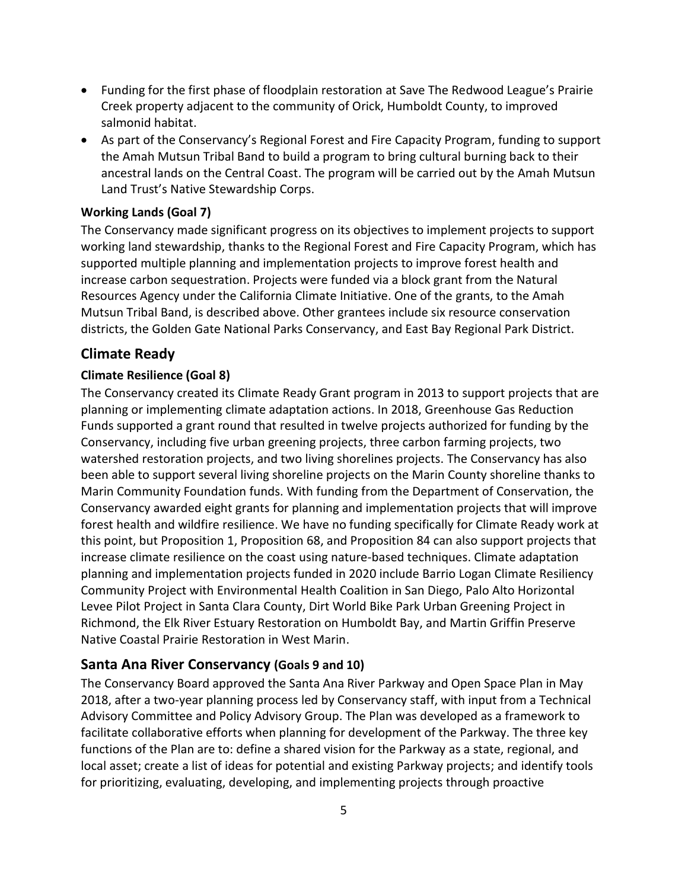- Funding for the first phase of floodplain restoration at Save The Redwood League's Prairie Creek property adjacent to the community of Orick, Humboldt County, to improved salmonid habitat.
- As part of the Conservancy's Regional Forest and Fire Capacity Program, funding to support the Amah Mutsun Tribal Band to build a program to bring cultural burning back to their ancestral lands on the Central Coast. The program will be carried out by the Amah Mutsun Land Trust's Native Stewardship Corps.

## **Working Lands (Goal 7)**

The Conservancy made significant progress on its objectives to implement projects to support working land stewardship, thanks to the Regional Forest and Fire Capacity Program, which has supported multiple planning and implementation projects to improve forest health and increase carbon sequestration. Projects were funded via a block grant from the Natural Resources Agency under the California Climate Initiative. One of the grants, to the Amah Mutsun Tribal Band, is described above. Other grantees include six resource conservation districts, the Golden Gate National Parks Conservancy, and East Bay Regional Park District.

## **Climate Ready**

## **Climate Resilience (Goal 8)**

The Conservancy created its Climate Ready Grant program in 2013 to support projects that are planning or implementing climate adaptation actions. In 2018, Greenhouse Gas Reduction Funds supported a grant round that resulted in twelve projects authorized for funding by the Conservancy, including five urban greening projects, three carbon farming projects, two watershed restoration projects, and two living shorelines projects. The Conservancy has also been able to support several living shoreline projects on the Marin County shoreline thanks to Marin Community Foundation funds. With funding from the Department of Conservation, the Conservancy awarded eight grants for planning and implementation projects that will improve forest health and wildfire resilience. We have no funding specifically for Climate Ready work at this point, but Proposition 1, Proposition 68, and Proposition 84 can also support projects that increase climate resilience on the coast using nature-based techniques. Climate adaptation planning and implementation projects funded in 2020 include Barrio Logan Climate Resiliency Community Project with Environmental Health Coalition in San Diego, Palo Alto Horizontal Levee Pilot Project in Santa Clara County, Dirt World Bike Park Urban Greening Project in Richmond, the Elk River Estuary Restoration on Humboldt Bay, and Martin Griffin Preserve Native Coastal Prairie Restoration in West Marin.

## **Santa Ana River Conservancy (Goals 9 and 10)**

The Conservancy Board approved the Santa Ana River Parkway and Open Space Plan in May 2018, after a two-year planning process led by Conservancy staff, with input from a Technical Advisory Committee and Policy Advisory Group. The Plan was developed as a framework to facilitate collaborative efforts when planning for development of the Parkway. The three key functions of the Plan are to: define a shared vision for the Parkway as a state, regional, and local asset; create a list of ideas for potential and existing Parkway projects; and identify tools for prioritizing, evaluating, developing, and implementing projects through proactive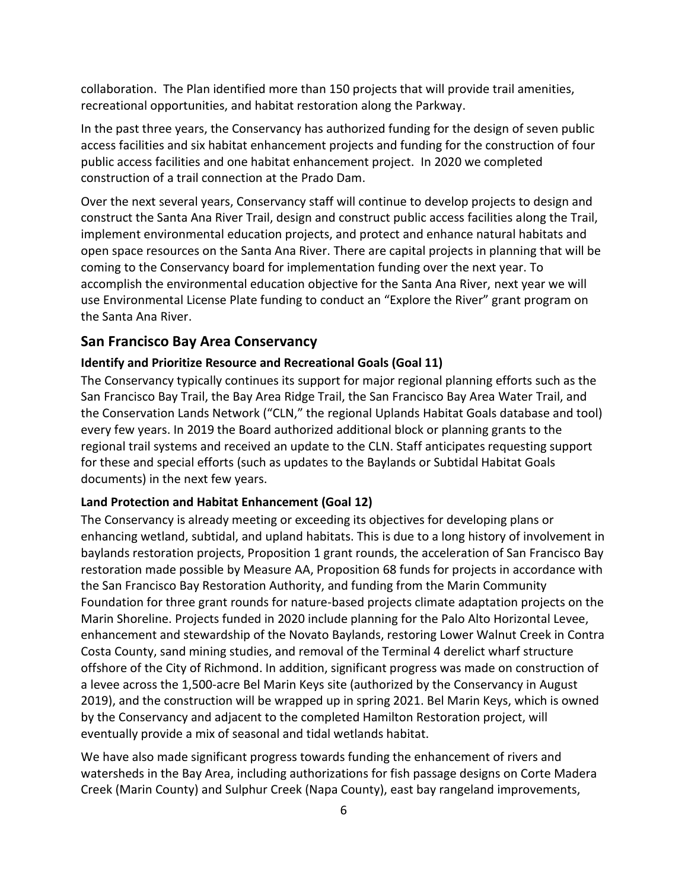collaboration. The Plan identified more than 150 projects that will provide trail amenities, recreational opportunities, and habitat restoration along the Parkway.

In the past three years, the Conservancy has authorized funding for the design of seven public access facilities and six habitat enhancement projects and funding for the construction of four public access facilities and one habitat enhancement project. In 2020 we completed construction of a trail connection at the Prado Dam.

Over the next several years, Conservancy staff will continue to develop projects to design and construct the Santa Ana River Trail, design and construct public access facilities along the Trail, implement environmental education projects, and protect and enhance natural habitats and open space resources on the Santa Ana River. There are capital projects in planning that will be coming to the Conservancy board for implementation funding over the next year. To accomplish the environmental education objective for the Santa Ana River, next year we will use Environmental License Plate funding to conduct an "Explore the River" grant program on the Santa Ana River.

#### **San Francisco Bay Area Conservancy**

#### **Identify and Prioritize Resource and Recreational Goals (Goal 11)**

The Conservancy typically continues its support for major regional planning efforts such as the San Francisco Bay Trail, the Bay Area Ridge Trail, the San Francisco Bay Area Water Trail, and the Conservation Lands Network ("CLN," the regional Uplands Habitat Goals database and tool) every few years. In 2019 the Board authorized additional block or planning grants to the regional trail systems and received an update to the CLN. Staff anticipates requesting support for these and special efforts (such as updates to the Baylands or Subtidal Habitat Goals documents) in the next few years.

#### **Land Protection and Habitat Enhancement (Goal 12)**

The Conservancy is already meeting or exceeding its objectives for developing plans or enhancing wetland, subtidal, and upland habitats. This is due to a long history of involvement in baylands restoration projects, Proposition 1 grant rounds, the acceleration of San Francisco Bay restoration made possible by Measure AA, Proposition 68 funds for projects in accordance with the San Francisco Bay Restoration Authority, and funding from the Marin Community Foundation for three grant rounds for nature-based projects climate adaptation projects on the Marin Shoreline. Projects funded in 2020 include planning for the Palo Alto Horizontal Levee, enhancement and stewardship of the Novato Baylands, restoring Lower Walnut Creek in Contra Costa County, sand mining studies, and removal of the Terminal 4 derelict wharf structure offshore of the City of Richmond. In addition, significant progress was made on construction of a levee across the 1,500-acre Bel Marin Keys site (authorized by the Conservancy in August 2019), and the construction will be wrapped up in spring 2021. Bel Marin Keys, which is owned by the Conservancy and adjacent to the completed Hamilton Restoration project, will eventually provide a mix of seasonal and tidal wetlands habitat.

We have also made significant progress towards funding the enhancement of rivers and watersheds in the Bay Area, including authorizations for fish passage designs on Corte Madera Creek (Marin County) and Sulphur Creek (Napa County), east bay rangeland improvements,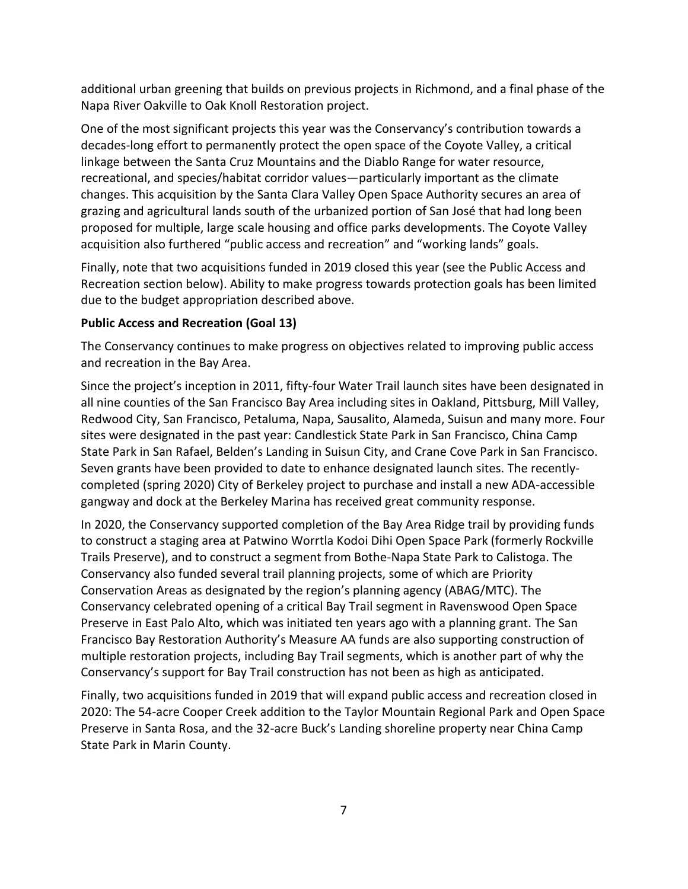additional urban greening that builds on previous projects in Richmond, and a final phase of the Napa River Oakville to Oak Knoll Restoration project.

One of the most significant projects this year was the Conservancy's contribution towards a decades-long effort to permanently protect the open space of the Coyote Valley, a critical linkage between the Santa Cruz Mountains and the Diablo Range for water resource, recreational, and species/habitat corridor values—particularly important as the climate changes. This acquisition by the Santa Clara Valley Open Space Authority secures an area of grazing and agricultural lands south of the urbanized portion of San José that had long been proposed for multiple, large scale housing and office parks developments. The Coyote Valley acquisition also furthered "public access and recreation" and "working lands" goals.

Finally, note that two acquisitions funded in 2019 closed this year (see the Public Access and Recreation section below). Ability to make progress towards protection goals has been limited due to the budget appropriation described above.

## **Public Access and Recreation (Goal 13)**

The Conservancy continues to make progress on objectives related to improving public access and recreation in the Bay Area.

Since the project's inception in 2011, fifty-four Water Trail launch sites have been designated in all nine counties of the San Francisco Bay Area including sites in Oakland, Pittsburg, Mill Valley, Redwood City, San Francisco, Petaluma, Napa, Sausalito, Alameda, Suisun and many more. Four sites were designated in the past year: Candlestick State Park in San Francisco, China Camp State Park in San Rafael, Belden's Landing in Suisun City, and Crane Cove Park in San Francisco. Seven grants have been provided to date to enhance designated launch sites. The recentlycompleted (spring 2020) City of Berkeley project to purchase and install a new ADA-accessible gangway and dock at the Berkeley Marina has received great community response.

In 2020, the Conservancy supported completion of the Bay Area Ridge trail by providing funds to construct a staging area at Patwino Worrtla Kodoi Dihi Open Space Park (formerly Rockville Trails Preserve), and to construct a segment from Bothe-Napa State Park to Calistoga. The Conservancy also funded several trail planning projects, some of which are Priority Conservation Areas as designated by the region's planning agency (ABAG/MTC). The Conservancy celebrated opening of a critical Bay Trail segment in Ravenswood Open Space Preserve in East Palo Alto, which was initiated ten years ago with a planning grant. The San Francisco Bay Restoration Authority's Measure AA funds are also supporting construction of multiple restoration projects, including Bay Trail segments, which is another part of why the Conservancy's support for Bay Trail construction has not been as high as anticipated.

Finally, two acquisitions funded in 2019 that will expand public access and recreation closed in 2020: The 54-acre Cooper Creek addition to the Taylor Mountain Regional Park and Open Space Preserve in Santa Rosa, and the 32-acre Buck's Landing shoreline property near China Camp State Park in Marin County.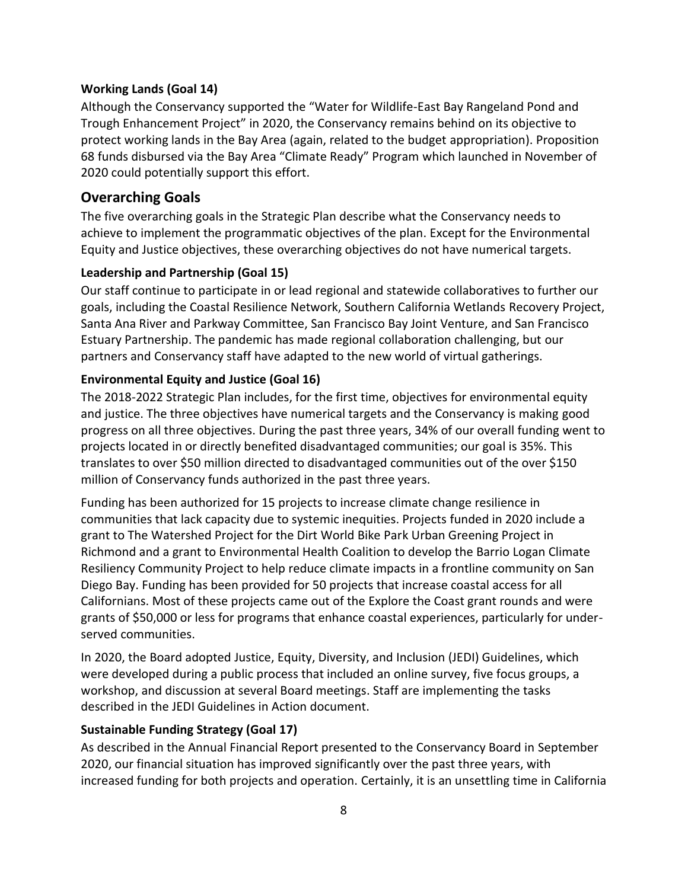#### **Working Lands (Goal 14)**

Although the Conservancy supported the "Water for Wildlife-East Bay Rangeland Pond and Trough Enhancement Project" in 2020, the Conservancy remains behind on its objective to protect working lands in the Bay Area (again, related to the budget appropriation). Proposition 68 funds disbursed via the Bay Area "Climate Ready" Program which launched in November of 2020 could potentially support this effort.

## **Overarching Goals**

The five overarching goals in the Strategic Plan describe what the Conservancy needs to achieve to implement the programmatic objectives of the plan. Except for the Environmental Equity and Justice objectives, these overarching objectives do not have numerical targets.

## **Leadership and Partnership (Goal 15)**

Our staff continue to participate in or lead regional and statewide collaboratives to further our goals, including the Coastal Resilience Network, Southern California Wetlands Recovery Project, Santa Ana River and Parkway Committee, San Francisco Bay Joint Venture, and San Francisco Estuary Partnership. The pandemic has made regional collaboration challenging, but our partners and Conservancy staff have adapted to the new world of virtual gatherings.

## **Environmental Equity and Justice (Goal 16)**

The 2018-2022 Strategic Plan includes, for the first time, objectives for environmental equity and justice. The three objectives have numerical targets and the Conservancy is making good progress on all three objectives. During the past three years, 34% of our overall funding went to projects located in or directly benefited disadvantaged communities; our goal is 35%. This translates to over \$50 million directed to disadvantaged communities out of the over \$150 million of Conservancy funds authorized in the past three years.

Funding has been authorized for 15 projects to increase climate change resilience in communities that lack capacity due to systemic inequities. Projects funded in 2020 include a grant to The Watershed Project for the Dirt World Bike Park Urban Greening Project in Richmond and a grant to Environmental Health Coalition to develop the Barrio Logan Climate Resiliency Community Project to help reduce climate impacts in a frontline community on San Diego Bay. Funding has been provided for 50 projects that increase coastal access for all Californians. Most of these projects came out of the Explore the Coast grant rounds and were grants of \$50,000 or less for programs that enhance coastal experiences, particularly for underserved communities.

In 2020, the Board adopted Justice, Equity, Diversity, and Inclusion (JEDI) Guidelines, which were developed during a public process that included an online survey, five focus groups, a workshop, and discussion at several Board meetings. Staff are implementing the tasks described in the JEDI Guidelines in Action document.

## **Sustainable Funding Strategy (Goal 17)**

As described in the Annual Financial Report presented to the Conservancy Board in September 2020, our financial situation has improved significantly over the past three years, with increased funding for both projects and operation. Certainly, it is an unsettling time in California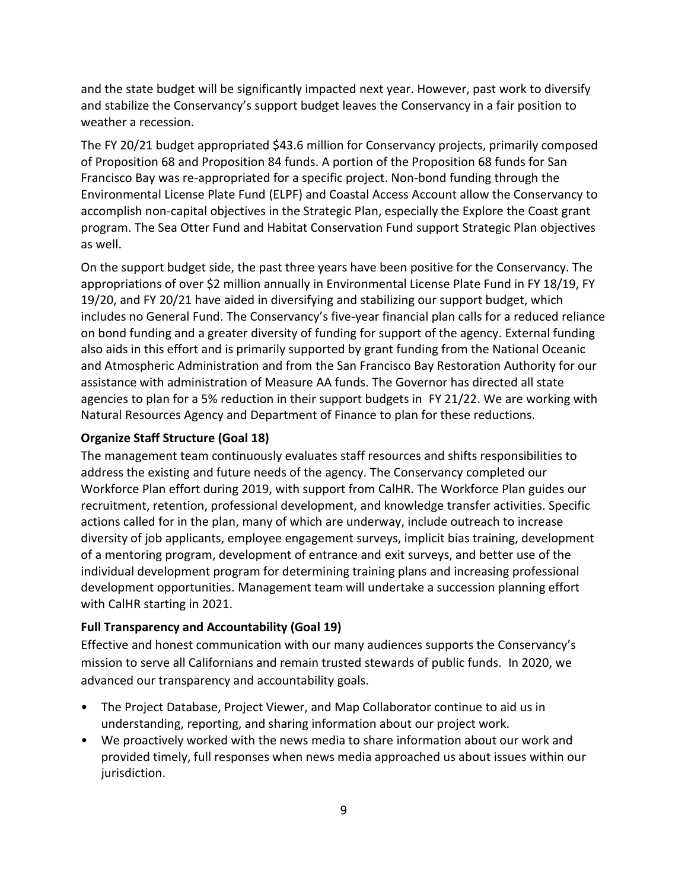and the state budget will be significantly impacted next year. However, past work to diversify and stabilize the Conservancy's support budget leaves the Conservancy in a fair position to weather a recession.

The FY 20/21 budget appropriated \$43.6 million for Conservancy projects, primarily composed of Proposition 68 and Proposition 84 funds. A portion of the Proposition 68 funds for San Francisco Bay was re-appropriated for a specific project. Non-bond funding through the Environmental License Plate Fund (ELPF) and Coastal Access Account allow the Conservancy to accomplish non-capital objectives in the Strategic Plan, especially the Explore the Coast grant program. The Sea Otter Fund and Habitat Conservation Fund support Strategic Plan objectives as well.

On the support budget side, the past three years have been positive for the Conservancy. The appropriations of over \$2 million annually in Environmental License Plate Fund in FY 18/19, FY 19/20, and FY 20/21 have aided in diversifying and stabilizing our support budget, which includes no General Fund. The Conservancy's five-year financial plan calls for a reduced reliance on bond funding and a greater diversity of funding for support of the agency. External funding also aids in this effort and is primarily supported by grant funding from the National Oceanic and Atmospheric Administration and from the San Francisco Bay Restoration Authority for our assistance with administration of Measure AA funds. The Governor has directed all state agencies to plan for a 5% reduction in their support budgets in FY 21/22. We are working with Natural Resources Agency and Department of Finance to plan for these reductions.

#### **Organize Staff Structure (Goal 18)**

The management team continuously evaluates staff resources and shifts responsibilities to address the existing and future needs of the agency. The Conservancy completed our Workforce Plan effort during 2019, with support from CalHR. The Workforce Plan guides our recruitment, retention, professional development, and knowledge transfer activities. Specific actions called for in the plan, many of which are underway, include outreach to increase diversity of job applicants, employee engagement surveys, implicit bias training, development of a mentoring program, development of entrance and exit surveys, and better use of the individual development program for determining training plans and increasing professional development opportunities. Management team will undertake a succession planning effort with CalHR starting in 2021.

#### **Full Transparency and Accountability (Goal 19)**

Effective and honest communication with our many audiences supports the Conservancy's mission to serve all Californians and remain trusted stewards of public funds. In 2020, we advanced our transparency and accountability goals.

- The Project Database, Project Viewer, and Map Collaborator continue to aid us in understanding, reporting, and sharing information about our project work.
- We proactively worked with the news media to share information about our work and provided timely, full responses when news media approached us about issues within our jurisdiction.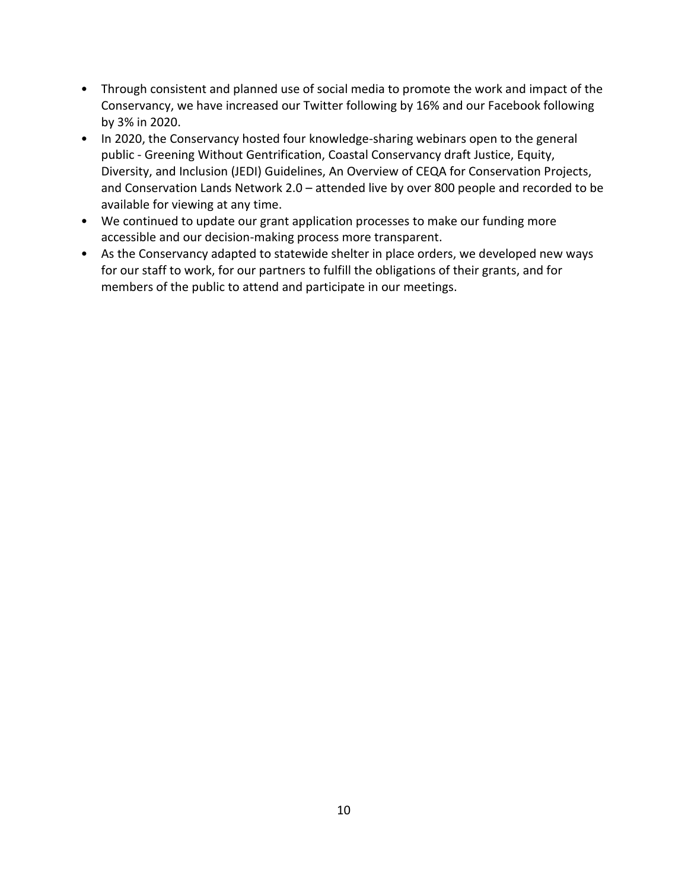- Through consistent and planned use of social media to promote the work and impact of the Conservancy, we have increased our Twitter following by 16% and our Facebook following by 3% in 2020.
- In 2020, the Conservancy hosted four knowledge-sharing webinars open to the general public - Greening Without Gentrification, Coastal Conservancy draft Justice, Equity, Diversity, and Inclusion (JEDI) Guidelines, An Overview of CEQA for Conservation Projects, and Conservation Lands Network 2.0 – attended live by over 800 people and recorded to be available for viewing at any time.
- We continued to update our grant application processes to make our funding more accessible and our decision-making process more transparent.
- As the Conservancy adapted to statewide shelter in place orders, we developed new ways for our staff to work, for our partners to fulfill the obligations of their grants, and for members of the public to attend and participate in our meetings.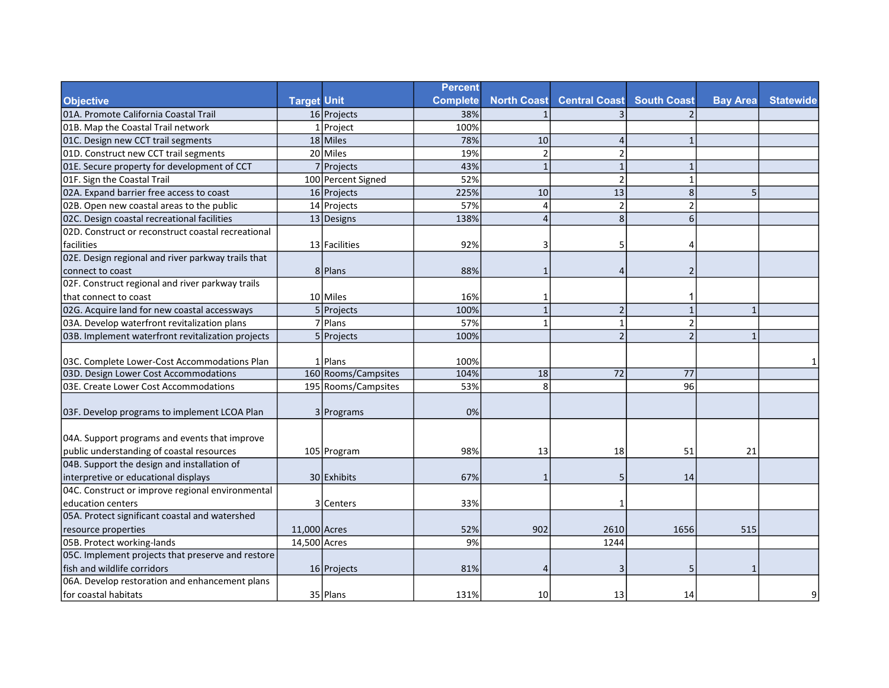|                                                     |                    |                     | <b>Percent</b>  |                    |                          |                          |                 |                  |
|-----------------------------------------------------|--------------------|---------------------|-----------------|--------------------|--------------------------|--------------------------|-----------------|------------------|
| <b>Objective</b>                                    | <b>Target Unit</b> |                     | <b>Complete</b> | <b>North Coast</b> | <b>Central Coast</b>     | <b>South Coast</b>       | <b>Bay Area</b> | <b>Statewide</b> |
| 01A. Promote California Coastal Trail               |                    | 16 Projects         | 38%             |                    |                          |                          |                 |                  |
| 01B. Map the Coastal Trail network                  |                    | $1$ Project         | 100%            |                    |                          |                          |                 |                  |
| 01C. Design new CCT trail segments                  |                    | 18 Miles            | 78%             | 10                 | $\overline{A}$           | $\mathbf{1}$             |                 |                  |
| 01D. Construct new CCT trail segments               |                    | 20 Miles            | 19%             | $\overline{2}$     |                          |                          |                 |                  |
| 01E. Secure property for development of CCT         |                    | 7 Projects          | 43%             | $\mathbf{1}$       |                          | 1                        |                 |                  |
| 01F. Sign the Coastal Trail                         |                    | 100 Percent Signed  | 52%             |                    | $\mathcal{P}$            | $\mathbf{1}$             |                 |                  |
| 02A. Expand barrier free access to coast            |                    | 16 Projects         | 225%            | 10                 | 13                       | 8                        | 5               |                  |
| 02B. Open new coastal areas to the public           |                    | 14 Projects         | 57%             | $\overline{a}$     | $\mathcal{P}$            | $\overline{2}$           |                 |                  |
| 02C. Design coastal recreational facilities         |                    | 13 Designs          | 138%            | $\Delta$           | 8                        | 6                        |                 |                  |
| 102D. Construct or reconstruct coastal recreational |                    |                     |                 |                    |                          |                          |                 |                  |
| facilities                                          |                    | 13 Facilities       | 92%             | 3                  | 5                        | 4                        |                 |                  |
| 02E. Design regional and river parkway trails that  |                    |                     |                 |                    |                          |                          |                 |                  |
| connect to coast                                    |                    | 8 Plans             | 88%             | 1                  | $\overline{4}$           | $\overline{2}$           |                 |                  |
| 02F. Construct regional and river parkway trails    |                    |                     |                 |                    |                          |                          |                 |                  |
| that connect to coast                               |                    | 10 Miles            | 16%             | 1                  |                          | 1                        |                 |                  |
| 02G. Acquire land for new coastal accessways        |                    | 5 Projects          | 100%            | $\mathbf{1}$       | $\overline{2}$           | $\mathbf{1}$             | $\mathbf{1}$    |                  |
| 03A. Develop waterfront revitalization plans        |                    | 7 Plans             | 57%             | $\mathbf{1}$       | $\mathbf{1}$             | $\overline{2}$           |                 |                  |
| 03B. Implement waterfront revitalization projects   |                    | $5$ Projects        | 100%            |                    | $\overline{\phantom{0}}$ | $\overline{\phantom{a}}$ | $\mathbf{1}$    |                  |
|                                                     |                    |                     |                 |                    |                          |                          |                 |                  |
| 03C. Complete Lower-Cost Accommodations Plan        |                    | $1$  Plans          | 100%            |                    |                          |                          |                 |                  |
| 03D. Design Lower Cost Accommodations               |                    | 160 Rooms/Campsites | 104%            | 18                 | 72                       | 77                       |                 |                  |
| 03E. Create Lower Cost Accommodations               |                    | 195 Rooms/Campsites | 53%             | 8                  |                          | 96                       |                 |                  |
| 03F. Develop programs to implement LCOA Plan        |                    | 3 Programs          | 0%              |                    |                          |                          |                 |                  |
|                                                     |                    |                     |                 |                    |                          |                          |                 |                  |
| 04A. Support programs and events that improve       |                    |                     |                 |                    |                          |                          |                 |                  |
| public understanding of coastal resources           |                    | 105 Program         | 98%             | 13                 | 18                       | 51                       | 21              |                  |
| 04B. Support the design and installation of         |                    |                     |                 |                    |                          |                          |                 |                  |
| interpretive or educational displays                |                    | 30 Exhibits         | 67%             | $\mathbf{1}$       | 5                        | 14                       |                 |                  |
| 04C. Construct or improve regional environmental    |                    |                     |                 |                    |                          |                          |                 |                  |
| education centers                                   |                    | 3 Centers           | 33%             |                    | -1                       |                          |                 |                  |
| 05A. Protect significant coastal and watershed      |                    |                     |                 |                    |                          |                          |                 |                  |
| resource properties                                 | 11,000 Acres       |                     | 52%             | 902                | 2610                     | 1656                     | 515             |                  |
| 05B. Protect working-lands                          | 14,500 Acres       |                     | 9%              |                    | 1244                     |                          |                 |                  |
| 05C. Implement projects that preserve and restore   |                    |                     |                 |                    |                          |                          |                 |                  |
| fish and wildlife corridors                         |                    | 16 Projects         | 81%             | $\Delta$           | β                        | 5                        |                 |                  |
| 06A. Develop restoration and enhancement plans      |                    |                     |                 |                    |                          |                          |                 |                  |
| lfor coastal habitats                               |                    | 35 Plans            | 131%            | 10 <sup>1</sup>    | 13                       | 14                       |                 | ٩                |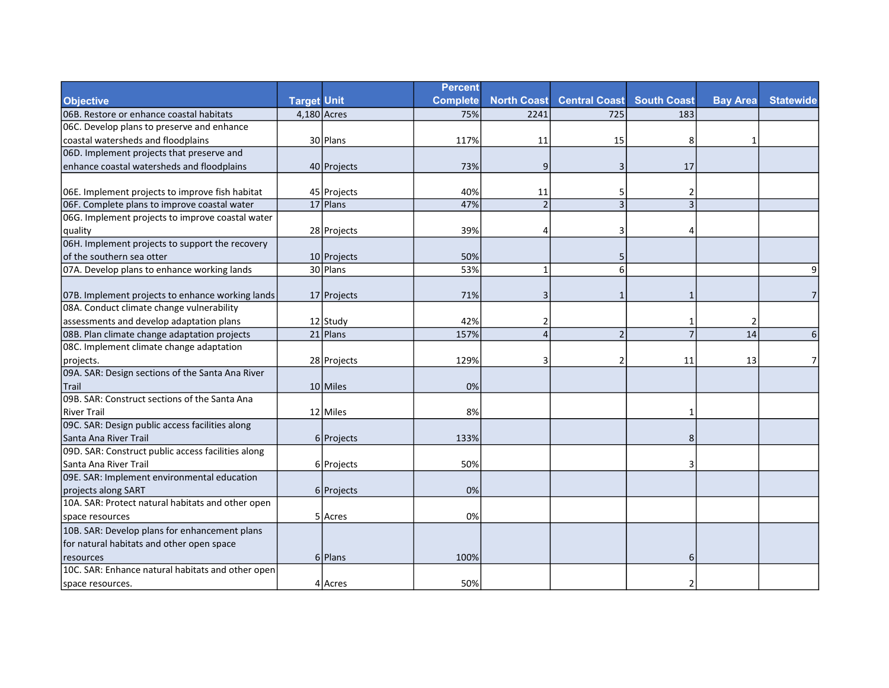|                                                    |                    |             | <b>Percent</b>  |                    |                      |                    |                 |                  |
|----------------------------------------------------|--------------------|-------------|-----------------|--------------------|----------------------|--------------------|-----------------|------------------|
| <b>Objective</b>                                   | <b>Target Unit</b> |             | <b>Complete</b> | <b>North Coast</b> | <b>Central Coast</b> | <b>South Coast</b> | <b>Bay Area</b> | <b>Statewide</b> |
| 06B. Restore or enhance coastal habitats           | $4,180$ Acres      |             | 75%             | 2241               | 725                  | 183                |                 |                  |
| 06C. Develop plans to preserve and enhance         |                    |             |                 |                    |                      |                    |                 |                  |
| coastal watersheds and floodplains                 |                    | 30 Plans    | 117%            | 11                 | 15                   | 8                  | 1               |                  |
| 06D. Implement projects that preserve and          |                    |             |                 |                    |                      |                    |                 |                  |
| enhance coastal watersheds and floodplains         |                    | 40 Projects | 73%             | 9                  | 3                    | 17                 |                 |                  |
|                                                    |                    |             |                 |                    |                      |                    |                 |                  |
| 06E. Implement projects to improve fish habitat    |                    | 45 Projects | 40%             | 11                 | 5                    | 2                  |                 |                  |
| 06F. Complete plans to improve coastal water       |                    | $17$  Plans | 47%             | $\overline{2}$     | $\overline{3}$       | 3                  |                 |                  |
| 06G. Implement projects to improve coastal water   |                    |             |                 |                    |                      |                    |                 |                  |
| quality                                            |                    | 28 Projects | 39%             |                    | З                    | 4                  |                 |                  |
| 06H. Implement projects to support the recovery    |                    |             |                 |                    |                      |                    |                 |                  |
| lof the southern sea otter                         |                    | 10 Projects | 50%             |                    | 5                    |                    |                 |                  |
| 07A. Develop plans to enhance working lands        |                    | 30 Plans    | 53%             | $\overline{1}$     | 6                    |                    |                 | 9                |
|                                                    |                    |             |                 |                    |                      |                    |                 |                  |
| 07B. Implement projects to enhance working lands   |                    | 17 Projects | 71%             | 3                  | 1                    | 1                  |                 | 7                |
| 08A. Conduct climate change vulnerability          |                    |             |                 |                    |                      |                    |                 |                  |
| assessments and develop adaptation plans           |                    | 12 Study    | 42%             |                    |                      | 1                  | $\overline{2}$  |                  |
| 08B. Plan climate change adaptation projects       |                    | $21$  Plans | 157%            | $\Delta$           | $\overline{2}$       | $\overline{7}$     | 14              | 6                |
| 08C. Implement climate change adaptation           |                    |             |                 |                    |                      |                    |                 |                  |
| projects.                                          |                    | 28 Projects | 129%            | 3                  | $\overline{2}$       | 11                 | 13              | 7                |
| 09A. SAR: Design sections of the Santa Ana River   |                    |             |                 |                    |                      |                    |                 |                  |
| <b>Trail</b>                                       |                    | 10 Miles    | 0%              |                    |                      |                    |                 |                  |
| 09B. SAR: Construct sections of the Santa Ana      |                    |             |                 |                    |                      |                    |                 |                  |
| River Trail                                        |                    | 12 Miles    | 8%              |                    |                      | 1                  |                 |                  |
| 09C. SAR: Design public access facilities along    |                    |             |                 |                    |                      |                    |                 |                  |
| Santa Ana River Trail                              |                    | 6 Projects  | 133%            |                    |                      | 8                  |                 |                  |
| 09D. SAR: Construct public access facilities along |                    |             |                 |                    |                      |                    |                 |                  |
| Santa Ana River Trail                              |                    | 6 Projects  | 50%             |                    |                      | 3                  |                 |                  |
| 09E. SAR: Implement environmental education        |                    |             |                 |                    |                      |                    |                 |                  |
| projects along SART                                |                    | 6 Projects  | 0%              |                    |                      |                    |                 |                  |
| 10A. SAR: Protect natural habitats and other open  |                    |             |                 |                    |                      |                    |                 |                  |
| space resources                                    |                    | 5 Acres     | 0%              |                    |                      |                    |                 |                  |
| 10B. SAR: Develop plans for enhancement plans      |                    |             |                 |                    |                      |                    |                 |                  |
| for natural habitats and other open space          |                    |             |                 |                    |                      |                    |                 |                  |
| resources                                          |                    | 6 Plans     | 100%            |                    |                      | 6                  |                 |                  |
| 10C. SAR: Enhance natural habitats and other open  |                    |             |                 |                    |                      |                    |                 |                  |
| space resources.                                   |                    | 4 Acres     | 50%             |                    |                      | $\overline{2}$     |                 |                  |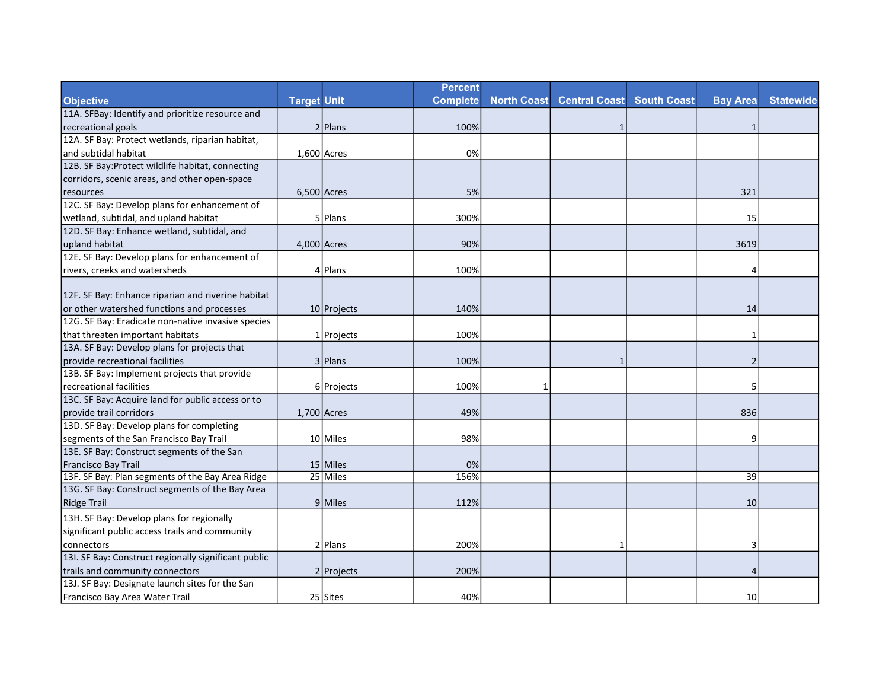|                                                      |                    |               | <b>Percent</b>  |                    |                      |                    |                 |                  |
|------------------------------------------------------|--------------------|---------------|-----------------|--------------------|----------------------|--------------------|-----------------|------------------|
| <b>Objective</b>                                     | <b>Target Unit</b> |               | <b>Complete</b> | <b>North Coast</b> | <b>Central Coast</b> | <b>South Coast</b> | <b>Bay Area</b> | <b>Statewide</b> |
| 11A. SFBay: Identify and prioritize resource and     |                    |               |                 |                    |                      |                    |                 |                  |
| recreational goals                                   |                    | 2 Plans       | 100%            |                    | $\mathbf{1}$         |                    | $\mathbf 1$     |                  |
| 12A. SF Bay: Protect wetlands, riparian habitat,     |                    |               |                 |                    |                      |                    |                 |                  |
| and subtidal habitat                                 | $1,600$ Acres      |               | 0%              |                    |                      |                    |                 |                  |
| 12B. SF Bay: Protect wildlife habitat, connecting    |                    |               |                 |                    |                      |                    |                 |                  |
| corridors, scenic areas, and other open-space        |                    |               |                 |                    |                      |                    |                 |                  |
| resources                                            |                    | $6,500$ Acres | 5%              |                    |                      |                    | 321             |                  |
| 12C. SF Bay: Develop plans for enhancement of        |                    |               |                 |                    |                      |                    |                 |                  |
| wetland, subtidal, and upland habitat                |                    | 5 Plans       | 300%            |                    |                      |                    | 15              |                  |
| 12D. SF Bay: Enhance wetland, subtidal, and          |                    |               |                 |                    |                      |                    |                 |                  |
| upland habitat                                       |                    | 4,000 Acres   | 90%             |                    |                      |                    | 3619            |                  |
| 12E. SF Bay: Develop plans for enhancement of        |                    |               |                 |                    |                      |                    |                 |                  |
| rivers, creeks and watersheds                        |                    | 4 Plans       | 100%            |                    |                      |                    | 4               |                  |
|                                                      |                    |               |                 |                    |                      |                    |                 |                  |
| 12F. SF Bay: Enhance riparian and riverine habitat   |                    |               |                 |                    |                      |                    |                 |                  |
| or other watershed functions and processes           |                    | 10 Projects   | 140%            |                    |                      |                    | 14              |                  |
| 12G. SF Bay: Eradicate non-native invasive species   |                    |               |                 |                    |                      |                    |                 |                  |
| that threaten important habitats                     |                    | 1 Projects    | 100%            |                    |                      |                    | $\mathbf 1$     |                  |
| 13A. SF Bay: Develop plans for projects that         |                    |               |                 |                    |                      |                    |                 |                  |
| provide recreational facilities                      |                    | 3 Plans       | 100%            |                    |                      |                    | $\overline{2}$  |                  |
| 13B. SF Bay: Implement projects that provide         |                    |               |                 |                    |                      |                    |                 |                  |
| recreational facilities                              |                    | 6 Projects    | 100%            | -1                 |                      |                    | 5               |                  |
| 13C. SF Bay: Acquire land for public access or to    |                    |               |                 |                    |                      |                    |                 |                  |
| Iprovide trail corridors                             | $1,700$ Acres      |               | 49%             |                    |                      |                    | 836             |                  |
| 13D. SF Bay: Develop plans for completing            |                    |               |                 |                    |                      |                    |                 |                  |
| segments of the San Francisco Bay Trail              |                    | 10 Miles      | 98%             |                    |                      |                    | 9               |                  |
| 13E. SF Bay: Construct segments of the San           |                    |               |                 |                    |                      |                    |                 |                  |
| Francisco Bay Trail                                  |                    | 15 Miles      | 0%              |                    |                      |                    |                 |                  |
| 13F. SF Bay: Plan segments of the Bay Area Ridge     |                    | 25 Miles      | 156%            |                    |                      |                    | 39              |                  |
| 13G. SF Bay: Construct segments of the Bay Area      |                    |               |                 |                    |                      |                    |                 |                  |
| Ridge Trail                                          |                    | $9$ Miles     | 112%            |                    |                      |                    | 10              |                  |
| 13H. SF Bay: Develop plans for regionally            |                    |               |                 |                    |                      |                    |                 |                  |
| significant public access trails and community       |                    |               |                 |                    |                      |                    |                 |                  |
| connectors                                           |                    | $2$  Plans    | 200%            |                    | 1                    |                    | 3               |                  |
| 13I. SF Bay: Construct regionally significant public |                    |               |                 |                    |                      |                    |                 |                  |
| trails and community connectors                      |                    | 2 Projects    | 200%            |                    |                      |                    | $\overline{4}$  |                  |
| 13J. SF Bay: Designate launch sites for the San      |                    |               |                 |                    |                      |                    |                 |                  |
| Francisco Bay Area Water Trail                       |                    | $25$ Sites    | 40%             |                    |                      |                    | 10 <sup>1</sup> |                  |